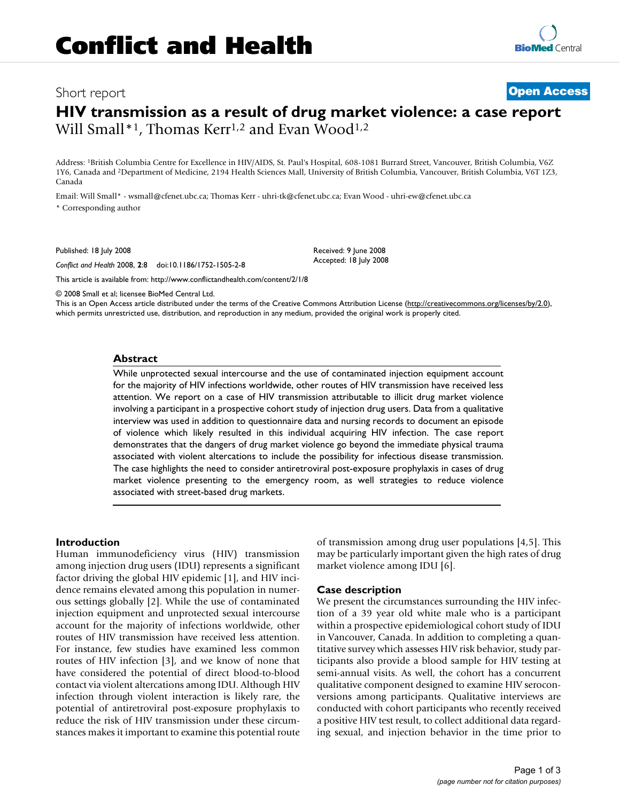# Short report **[Open Access](http://www.biomedcentral.com/info/about/charter/) HIV transmission as a result of drug market violence: a case report** Will Small<sup>\*1</sup>, Thomas Kerr<sup>1,2</sup> and Evan Wood<sup>1,2</sup>

Address: 1British Columbia Centre for Excellence in HIV/AIDS, St. Paul's Hospital, 608-1081 Burrard Street, Vancouver, British Columbia, V6Z 1Y6, Canada and 2Department of Medicine, 2194 Health Sciences Mall, University of British Columbia, Vancouver, British Columbia, V6T 1Z3, Canada

Email: Will Small\* - wsmall@cfenet.ubc.ca; Thomas Kerr - uhri-tk@cfenet.ubc.ca; Evan Wood - uhri-ew@cfenet.ubc.ca \* Corresponding author

Published: 18 July 2008

*Conflict and Health* 2008, **2**:8 doi:10.1186/1752-1505-2-8

Received: 9 June 2008 Accepted: 18 July 2008

[This article is available from: http://www.conflictandhealth.com/content/2/1/8](http://www.conflictandhealth.com/content/2/1/8)

© 2008 Small et al; licensee BioMed Central Ltd.

This is an Open Access article distributed under the terms of the Creative Commons Attribution License [\(http://creativecommons.org/licenses/by/2.0\)](http://creativecommons.org/licenses/by/2.0), which permits unrestricted use, distribution, and reproduction in any medium, provided the original work is properly cited.

### **Abstract**

While unprotected sexual intercourse and the use of contaminated injection equipment account for the majority of HIV infections worldwide, other routes of HIV transmission have received less attention. We report on a case of HIV transmission attributable to illicit drug market violence involving a participant in a prospective cohort study of injection drug users. Data from a qualitative interview was used in addition to questionnaire data and nursing records to document an episode of violence which likely resulted in this individual acquiring HIV infection. The case report demonstrates that the dangers of drug market violence go beyond the immediate physical trauma associated with violent altercations to include the possibility for infectious disease transmission. The case highlights the need to consider antiretroviral post-exposure prophylaxis in cases of drug market violence presenting to the emergency room, as well strategies to reduce violence associated with street-based drug markets.

## **Introduction**

Human immunodeficiency virus (HIV) transmission among injection drug users (IDU) represents a significant factor driving the global HIV epidemic [1], and HIV incidence remains elevated among this population in numerous settings globally [2]. While the use of contaminated injection equipment and unprotected sexual intercourse account for the majority of infections worldwide, other routes of HIV transmission have received less attention. For instance, few studies have examined less common routes of HIV infection [3], and we know of none that have considered the potential of direct blood-to-blood contact via violent altercations among IDU. Although HIV infection through violent interaction is likely rare, the potential of antiretroviral post-exposure prophylaxis to reduce the risk of HIV transmission under these circumstances makes it important to examine this potential route of transmission among drug user populations [4,5]. This may be particularly important given the high rates of drug market violence among IDU [6].

### **Case description**

We present the circumstances surrounding the HIV infection of a 39 year old white male who is a participant within a prospective epidemiological cohort study of IDU in Vancouver, Canada. In addition to completing a quantitative survey which assesses HIV risk behavior, study participants also provide a blood sample for HIV testing at semi-annual visits. As well, the cohort has a concurrent qualitative component designed to examine HIV seroconversions among participants. Qualitative interviews are conducted with cohort participants who recently received a positive HIV test result, to collect additional data regarding sexual, and injection behavior in the time prior to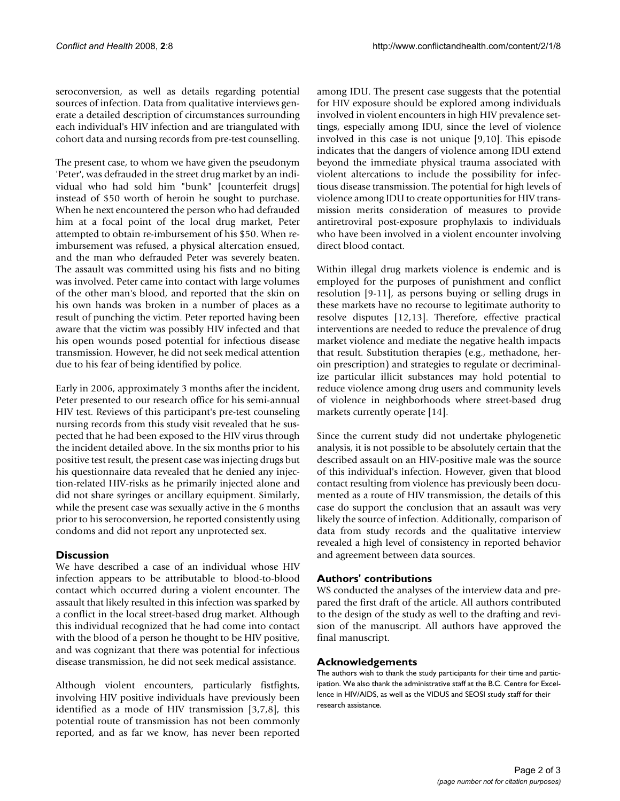seroconversion, as well as details regarding potential sources of infection. Data from qualitative interviews generate a detailed description of circumstances surrounding each individual's HIV infection and are triangulated with cohort data and nursing records from pre-test counselling.

The present case, to whom we have given the pseudonym 'Peter', was defrauded in the street drug market by an individual who had sold him "bunk" [counterfeit drugs] instead of \$50 worth of heroin he sought to purchase. When he next encountered the person who had defrauded him at a focal point of the local drug market, Peter attempted to obtain re-imbursement of his \$50. When reimbursement was refused, a physical altercation ensued, and the man who defrauded Peter was severely beaten. The assault was committed using his fists and no biting was involved. Peter came into contact with large volumes of the other man's blood, and reported that the skin on his own hands was broken in a number of places as a result of punching the victim. Peter reported having been aware that the victim was possibly HIV infected and that his open wounds posed potential for infectious disease transmission. However, he did not seek medical attention due to his fear of being identified by police.

Early in 2006, approximately 3 months after the incident, Peter presented to our research office for his semi-annual HIV test. Reviews of this participant's pre-test counseling nursing records from this study visit revealed that he suspected that he had been exposed to the HIV virus through the incident detailed above. In the six months prior to his positive test result, the present case was injecting drugs but his questionnaire data revealed that he denied any injection-related HIV-risks as he primarily injected alone and did not share syringes or ancillary equipment. Similarly, while the present case was sexually active in the 6 months prior to his seroconversion, he reported consistently using condoms and did not report any unprotected sex.

## **Discussion**

We have described a case of an individual whose HIV infection appears to be attributable to blood-to-blood contact which occurred during a violent encounter. The assault that likely resulted in this infection was sparked by a conflict in the local street-based drug market. Although this individual recognized that he had come into contact with the blood of a person he thought to be HIV positive, and was cognizant that there was potential for infectious disease transmission, he did not seek medical assistance.

Although violent encounters, particularly fistfights, involving HIV positive individuals have previously been identified as a mode of HIV transmission [3,7,8], this potential route of transmission has not been commonly reported, and as far we know, has never been reported among IDU. The present case suggests that the potential for HIV exposure should be explored among individuals involved in violent encounters in high HIV prevalence settings, especially among IDU, since the level of violence involved in this case is not unique [9,10]. This episode indicates that the dangers of violence among IDU extend beyond the immediate physical trauma associated with violent altercations to include the possibility for infectious disease transmission. The potential for high levels of violence among IDU to create opportunities for HIV transmission merits consideration of measures to provide antiretroviral post-exposure prophylaxis to individuals who have been involved in a violent encounter involving direct blood contact.

Within illegal drug markets violence is endemic and is employed for the purposes of punishment and conflict resolution [9-11], as persons buying or selling drugs in these markets have no recourse to legitimate authority to resolve disputes [12,13]. Therefore, effective practical interventions are needed to reduce the prevalence of drug market violence and mediate the negative health impacts that result. Substitution therapies (e.g., methadone, heroin prescription) and strategies to regulate or decriminalize particular illicit substances may hold potential to reduce violence among drug users and community levels of violence in neighborhoods where street-based drug markets currently operate [14].

Since the current study did not undertake phylogenetic analysis, it is not possible to be absolutely certain that the described assault on an HIV-positive male was the source of this individual's infection. However, given that blood contact resulting from violence has previously been documented as a route of HIV transmission, the details of this case do support the conclusion that an assault was very likely the source of infection. Additionally, comparison of data from study records and the qualitative interview revealed a high level of consistency in reported behavior and agreement between data sources.

## **Authors' contributions**

WS conducted the analyses of the interview data and prepared the first draft of the article. All authors contributed to the design of the study as well to the drafting and revision of the manuscript. All authors have approved the final manuscript.

## **Acknowledgements**

The authors wish to thank the study participants for their time and participation. We also thank the administrative staff at the B.C. Centre for Excellence in HIV/AIDS, as well as the VIDUS and SEOSI study staff for their research assistance.